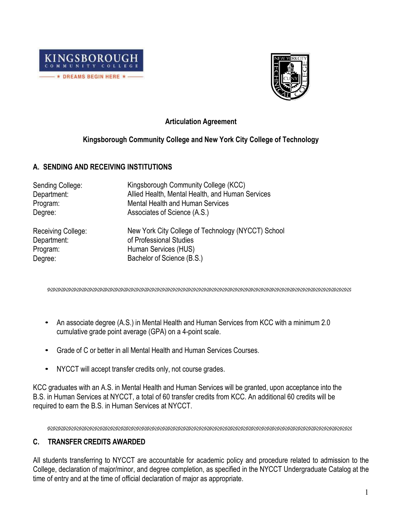



# **Articulation Agreement**

## **Kingsborough Community College and New York City College of Technology**

## **A. SENDING AND RECEIVING INSTITUTIONS**

| Sending College:<br>Department:<br>Program: | Kingsborough Community College (KCC)<br>Allied Health, Mental Health, and Human Services<br><b>Mental Health and Human Services</b> |
|---------------------------------------------|-------------------------------------------------------------------------------------------------------------------------------------|
| Degree:                                     | Associates of Science (A.S.)                                                                                                        |
|                                             |                                                                                                                                     |
| Receiving College:                          | New York City College of Technology (NYCCT) School<br>of Professional Studies                                                       |
| Department:                                 |                                                                                                                                     |
| Program:                                    | Human Services (HUS)                                                                                                                |
| Degree:                                     | Bachelor of Science (B.S.)                                                                                                          |

- An associate degree (A.S.) in Mental Health and Human Services from KCC with a minimum 2.0 cumulative grade point average (GPA) on a 4-point scale.
- Grade of C or better in all Mental Health and Human Services Courses.
- NYCCT will accept transfer credits only, not course grades.

KCC graduates with an A.S. in Mental Health and Human Services will be granted, upon acceptance into the B.S. in Human Services at NYCCT, a total of 60 transfer credits from KCC. An additional 60 credits will be required to earn the B.S. in Human Services at NYCCT.

# **C. TRANSFER CREDITS AWARDED**

All students transferring to NYCCT are accountable for academic policy and procedure related to admission to the College, declaration of major/minor, and degree completion, as specified in the NYCCT Undergraduate Catalog at the time of entry and at the time of official declaration of major as appropriate.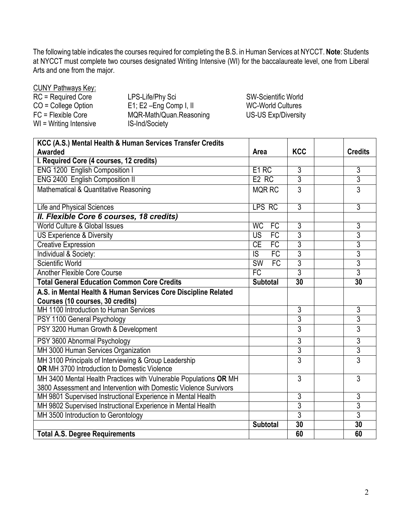The following table indicates the courses required for completing the B.S. in Human Services at NYCCT. **Note**: Students at NYCCT must complete two courses designated Writing Intensive (WI) for the baccalaureate level, one from Liberal Arts and one from the major.

CUNY Pathways Key:

| RC = Required Core     | LPS-Life/Phy Sci            |
|------------------------|-----------------------------|
| $CO =$ College Option  | $E1$ ; $E2$ -Eng Comp I, II |
| FC = Flexible Core     | MQR-Math/Quan.Reasoning     |
| WI = Writing Intensive | IS-Ind/Society              |

SW-Scientific World WC-World Cultures US-US Exp/Diversity

| KCC (A.S.) Mental Health & Human Services Transfer Credits                                                                             |                              |                 |                |
|----------------------------------------------------------------------------------------------------------------------------------------|------------------------------|-----------------|----------------|
| Awarded                                                                                                                                | Area                         | <b>KCC</b>      | <b>Credits</b> |
| I. Required Core (4 courses, 12 credits)                                                                                               |                              |                 |                |
| <b>ENG 1200 English Composition I</b>                                                                                                  | E <sub>1</sub> RC            | 3               | $\overline{3}$ |
| <b>ENG 2400 English Composition II</b>                                                                                                 | E <sub>2</sub> RC            | 3               | 3              |
| Mathematical & Quantitative Reasoning                                                                                                  | <b>MQR RC</b>                | 3               | $\overline{3}$ |
| Life and Physical Sciences                                                                                                             | LPS RC                       | $\overline{3}$  | 3              |
| II. Flexible Core 6 courses, 18 credits)                                                                                               |                              |                 |                |
| World Culture & Global Issues                                                                                                          | <b>WC</b><br><b>FC</b>       | 3               | $\overline{3}$ |
| US Experience & Diversity                                                                                                              | $\overline{US}$<br>FC        | 3               | $\overline{3}$ |
| <b>Creative Expression</b>                                                                                                             | CE<br>FC                     | 3               | $\overline{3}$ |
| Individual & Society:                                                                                                                  | FC<br>$\overline{S}$         | 3               | 3              |
| Scientific World                                                                                                                       | FC<br>$\overline{\text{SW}}$ | 3               | 3              |
| <b>Another Flexible Core Course</b>                                                                                                    | FC                           | $\overline{3}$  | $\overline{3}$ |
| <b>Total General Education Common Core Credits</b>                                                                                     | <b>Subtotal</b>              | $\overline{30}$ | 30             |
| A.S. in Mental Health & Human Services Core Discipline Related                                                                         |                              |                 |                |
| Courses (10 courses, 30 credits)                                                                                                       |                              |                 |                |
| MH 1100 Introduction to Human Services                                                                                                 |                              | 3               | 3              |
| PSY 1100 General Psychology                                                                                                            |                              | 3               | $\overline{3}$ |
| PSY 3200 Human Growth & Development                                                                                                    |                              | 3               | $\overline{3}$ |
| PSY 3600 Abnormal Psychology                                                                                                           |                              | 3               | $\overline{3}$ |
| MH 3000 Human Services Organization                                                                                                    |                              | $\overline{3}$  | $\overline{3}$ |
| MH 3100 Principals of Interviewing & Group Leadership<br><b>OR</b> MH 3700 Introduction to Domestic Violence                           |                              | 3               | $\overline{3}$ |
| MH 3400 Mental Health Practices with Vulnerable Populations OR MH<br>3800 Assessment and Intervention with Domestic Violence Survivors |                              | 3               | 3              |
| MH 9801 Supervised Instructional Experience in Mental Health                                                                           |                              | 3               | $\overline{3}$ |
| MH 9802 Supervised Instructional Experience in Mental Health                                                                           |                              | 3               | 3              |
| MH 3500 Introduction to Gerontology                                                                                                    |                              | $\overline{3}$  | $\overline{3}$ |
|                                                                                                                                        | <b>Subtotal</b>              | 30              | 30             |
| <b>Total A.S. Degree Requirements</b>                                                                                                  |                              | 60              | 60             |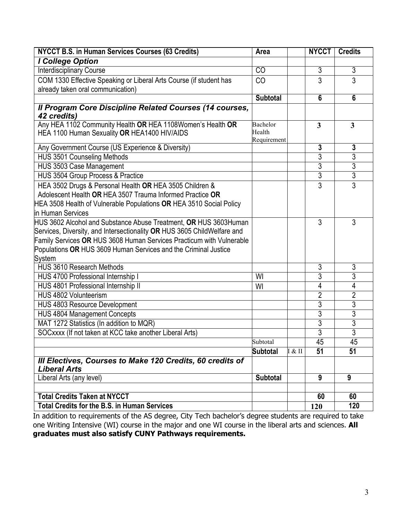| <b>NYCCT B.S. in Human Services Courses (63 Credits)</b>                | Area                  |        | <b>NYCCT</b>   | <b>Credits</b>          |
|-------------------------------------------------------------------------|-----------------------|--------|----------------|-------------------------|
| I College Option                                                        |                       |        |                |                         |
| <b>Interdisciplinary Course</b>                                         | C <sub>O</sub>        |        | 3              | 3                       |
| COM 1330 Effective Speaking or Liberal Arts Course (if student has      | CO                    |        | $\overline{3}$ | $\overline{3}$          |
| already taken oral communication)                                       |                       |        |                |                         |
|                                                                         | <b>Subtotal</b>       |        | 6              | $6\phantom{1}6$         |
| Il Program Core Discipline Related Courses (14 courses,                 |                       |        |                |                         |
| 42 credits)                                                             |                       |        |                |                         |
| Any HEA 1102 Community Health OR HEA 1108Women's Health OR              | Bachelor              |        | 3              | $\overline{\mathbf{3}}$ |
| HEA 1100 Human Sexuality OR HEA1400 HIV/AIDS                            | Health<br>Requirement |        |                |                         |
| Any Government Course (US Experience & Diversity)                       |                       |        | $\mathbf{3}$   | 3                       |
| HUS 3501 Counseling Methods                                             |                       |        | $\overline{3}$ | $\overline{3}$          |
| <b>HUS 3503 Case Management</b>                                         |                       |        | $\overline{3}$ | $\overline{3}$          |
| <b>HUS 3504 Group Process &amp; Practice</b>                            |                       |        | $\overline{3}$ | $\overline{3}$          |
| HEA 3502 Drugs & Personal Health OR HEA 3505 Children &                 |                       |        | 3              | $\overline{3}$          |
| Adolescent Health OR HEA 3507 Trauma Informed Practice OR               |                       |        |                |                         |
| HEA 3508 Health of Vulnerable Populations OR HEA 3510 Social Policy     |                       |        |                |                         |
| in Human Services                                                       |                       |        |                |                         |
| HUS 3602 Alcohol and Substance Abuse Treatment, OR HUS 3603Human        |                       |        | 3              | 3                       |
| Services, Diversity, and Intersectionality OR HUS 3605 ChildWelfare and |                       |        |                |                         |
| Family Services OR HUS 3608 Human Services Practicum with Vulnerable    |                       |        |                |                         |
| Populations OR HUS 3609 Human Services and the Criminal Justice         |                       |        |                |                         |
| <b>System</b>                                                           |                       |        |                |                         |
| HUS 3610 Research Methods                                               |                       |        | 3              | 3                       |
| HUS 4700 Professional Internship I                                      | WI                    |        | $\overline{3}$ | $\overline{3}$          |
| HUS 4801 Professional Internship II                                     | WI                    |        | 4              | 4                       |
| HUS 4802 Volunteerism                                                   |                       |        | $\overline{2}$ | $\overline{2}$          |
| HUS 4803 Resource Development                                           |                       |        | 3              | 3                       |
| <b>HUS 4804 Management Concepts</b>                                     |                       |        | $\overline{3}$ | $\overline{3}$          |
| MAT 1272 Statistics (In addition to MQR)                                |                       |        | 3              | $\overline{3}$          |
| SOCxxxx (If not taken at KCC take another Liberal Arts)                 |                       |        | $\overline{3}$ | $\overline{3}$          |
|                                                                         | Subtotal              |        | 45             | 45                      |
|                                                                         | <b>Subtotal</b>       | I & II | 51             | 51                      |
| III Electives, Courses to Make 120 Credits, 60 credits of               |                       |        |                |                         |
| <b>Liberal Arts</b>                                                     |                       |        |                |                         |
| Liberal Arts (any level)                                                | <b>Subtotal</b>       |        | 9              | 9                       |
|                                                                         |                       |        |                |                         |
| <b>Total Credits Taken at NYCCT</b>                                     |                       |        | 60             | 60                      |
| <b>Total Credits for the B.S. in Human Services</b>                     |                       |        | 120            | 120                     |

In addition to requirements of the AS degree, City Tech bachelor's degree students are required to take one Writing Intensive (WI) course in the major and one WI course in the liberal arts and sciences. **All graduates must also satisfy CUNY Pathways requirements.**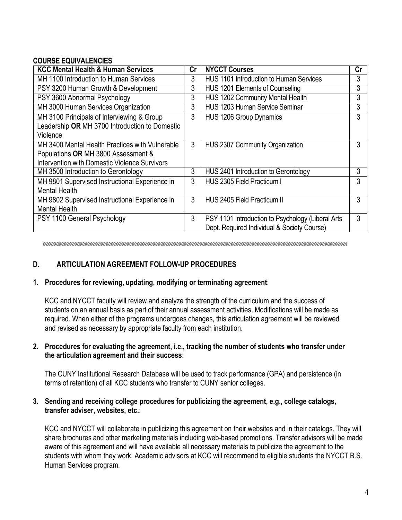## **COURSE EQUIVALENCIES**

| <b>KCC Mental Health &amp; Human Services</b>        |   | <b>NYCCT Courses</b>                              | Cr |
|------------------------------------------------------|---|---------------------------------------------------|----|
| MH 1100 Introduction to Human Services               |   | <b>HUS 1101 Introduction to Human Services</b>    | 3  |
| PSY 3200 Human Growth & Development                  |   | HUS 1201 Elements of Counseling                   | 3  |
| PSY 3600 Abnormal Psychology                         | 3 | HUS 1202 Community Mental Health                  | 3  |
| MH 3000 Human Services Organization                  | 3 | <b>HUS 1203 Human Service Seminar</b>             | 3  |
| MH 3100 Principals of Interviewing & Group           | 3 | HUS 1206 Group Dynamics                           | 3  |
| Leadership OR MH 3700 Introduction to Domestic       |   |                                                   |    |
| Violence                                             |   |                                                   |    |
| MH 3400 Mental Health Practices with Vulnerable      | 3 | <b>HUS 2307 Community Organization</b>            | 3  |
| Populations OR MH 3800 Assessment &                  |   |                                                   |    |
| <b>Intervention with Domestic Violence Survivors</b> |   |                                                   |    |
| MH 3500 Introduction to Gerontology                  | 3 | HUS 2401 Introduction to Gerontology              | 3  |
| MH 9801 Supervised Instructional Experience in       | 3 | HUS 2305 Field Practicum I                        | 3  |
| <b>Mental Health</b>                                 |   |                                                   |    |
| MH 9802 Supervised Instructional Experience in       | 3 | HUS 2405 Field Practicum II                       | 3  |
| <b>Mental Health</b>                                 |   |                                                   |    |
| PSY 1100 General Psychology                          | 3 | PSY 1101 Introduction to Psychology (Liberal Arts | 3  |
|                                                      |   | Dept. Required Individual & Society Course)       |    |

# **D. ARTICULATION AGREEMENT FOLLOW-UP PROCEDURES**

#### **1. Procedures for reviewing, updating, modifying or terminating agreement**:

KCC and NYCCT faculty will review and analyze the strength of the curriculum and the success of students on an annual basis as part of their annual assessment activities. Modifications will be made as required. When either of the programs undergoes changes, this articulation agreement will be reviewed and revised as necessary by appropriate faculty from each institution.

#### **2. Procedures for evaluating the agreement, i.e., tracking the number of students who transfer under the articulation agreement and their success**:

The CUNY Institutional Research Database will be used to track performance (GPA) and persistence (in terms of retention) of all KCC students who transfer to CUNY senior colleges.

#### **3. Sending and receiving college procedures for publicizing the agreement, e.g., college catalogs, transfer adviser, websites, etc.**:

KCC and NYCCT will collaborate in publicizing this agreement on their websites and in their catalogs. They will share brochures and other marketing materials including web-based promotions. Transfer advisors will be made aware of this agreement and will have available all necessary materials to publicize the agreement to the students with whom they work. Academic advisors at KCC will recommend to eligible students the NYCCT B.S. Human Services program.